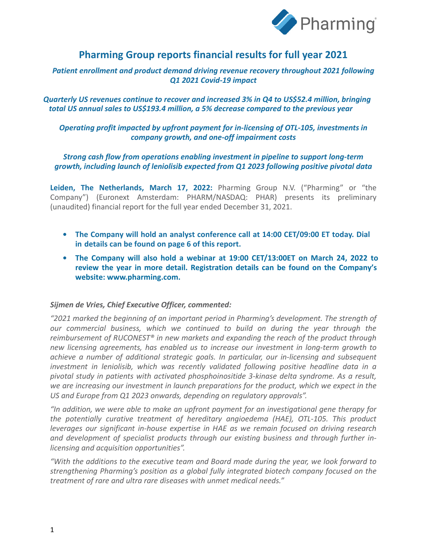

# **Pharming Group reports financial results for full year 2021**

*Patient enrollment and product demand driving revenue recovery throughout 2021 following Q1 2021 Covid-19 impact*

*Quarterly US revenues continue to recover and increased 3% in Q4 to US\$52.4 million, bringing total US annual sales to US\$193.4 million, a 5% decrease compared to the previous year*

# *Operating profit impacted by upfront payment for in-licensing of OTL-105, investments in company growth, and one-off impairment costs*

## *Strong cash flow from operations enabling investment in pipeline to support long-term growth, including launch of leniolisib expected from Q1 2023 following positive pivotal data*

**Leiden, The Netherlands, March 17, 2022:** Pharming Group N.V. ("Pharming" or "the Company") (Euronext Amsterdam: PHARM/NASDAQ: PHAR) presents its preliminary (unaudited) financial report for the full year ended December 31, 2021.

- **• The Company will hold an analyst conference call at 14:00 CET/09:00 ET today. Dial in details can be found on page 6 of this report.**
- **• The Company will also hold a webinar at 19:00 CET/13:00ET on March 24, 2022 to review the year in more detail. Registration details can be found on the Company's website: www.pharming.com.**

### *Sijmen de Vries, Chief Executive Officer, commented:*

*"2021 marked the beginning of an important period in Pharming's development. The strength of our commercial business, which we continued to build on during the year through the reimbursement of RUCONEST® in new markets and expanding the reach of the product through new licensing agreements, has enabled us to increase our investment in long-term growth to achieve a number of additional strategic goals. In particular, our in-licensing and subsequent investment in leniolisib, which was recently validated following positive headline data in a pivotal study in patients with activated phosphoinositide 3-kinase delta syndrome. As a result, we are increasing our investment in launch preparations for the product, which we expect in the US and Europe from Q1 2023 onwards, depending on regulatory approvals".* 

*"In addition, we were able to make an upfront payment for an investigational gene therapy for the potentially curative treatment of hereditary angioedema (HAE), OTL-105. This product leverages our significant in-house expertise in HAE as we remain focused on driving research and development of specialist products through our existing business and through further inlicensing and acquisition opportunities".*

*"With the additions to the executive team and Board made during the year, we look forward to strengthening Pharming's position as a global fully integrated biotech company focused on the treatment of rare and ultra rare diseases with unmet medical needs."*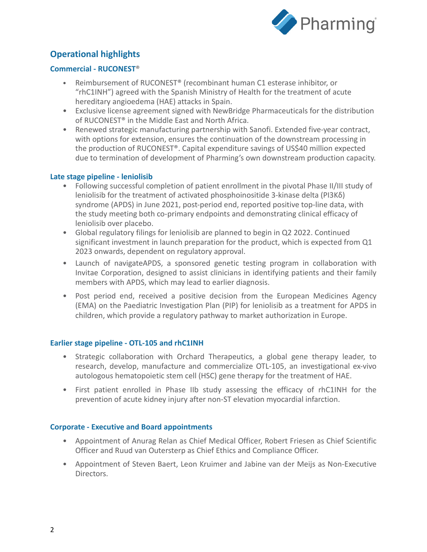

# **Operational highlights**

# **Commercial - RUCONEST**®

- Reimbursement of RUCONEST® (recombinant human C1 esterase inhibitor, or "rhC1INH") agreed with the Spanish Ministry of Health for the treatment of acute hereditary angioedema (HAE) attacks in Spain.
- Exclusive license agreement signed with NewBridge Pharmaceuticals for the distribution of RUCONEST® in the Middle East and North Africa.
- Renewed strategic manufacturing partnership with Sanofi. Extended five-year contract, with options for extension, ensures the continuation of the downstream processing in the production of RUCONEST®. Capital expenditure savings of US\$40 million expected due to termination of development of Pharming's own downstream production capacity.

### **Late stage pipeline - leniolisib**

- Following successful completion of patient enrollment in the pivotal Phase II/III study of leniolisib for the treatment of activated phosphoinositide 3-kinase delta (PI3Kδ) syndrome (APDS) in June 2021, post-period end, reported positive top-line data, with the study meeting both co-primary endpoints and demonstrating clinical efficacy of leniolisib over placebo.
- Global regulatory filings for leniolisib are planned to begin in Q2 2022. Continued significant investment in launch preparation for the product, which is expected from Q1 2023 onwards, dependent on regulatory approval.
- Launch of navigateAPDS, a sponsored genetic testing program in collaboration with Invitae Corporation, designed to assist clinicians in identifying patients and their family members with APDS, which may lead to earlier diagnosis.
- Post period end, received a positive decision from the European Medicines Agency (EMA) on the Paediatric Investigation Plan (PIP) for leniolisib as a treatment for APDS in children, which provide a regulatory pathway to market authorization in Europe.

#### **Earlier stage pipeline - OTL-105 and rhC1INH**

- Strategic collaboration with Orchard Therapeutics, a global gene therapy leader, to research, develop, manufacture and commercialize OTL-105, an investigational ex-vivo autologous hematopoietic stem cell (HSC) gene therapy for the treatment of HAE.
- First patient enrolled in Phase IIb study assessing the efficacy of rhC1INH for the prevention of acute kidney injury after non-ST elevation myocardial infarction.

### **Corporate - Executive and Board appointments**

- Appointment of Anurag Relan as Chief Medical Officer, Robert Friesen as Chief Scientific Officer and Ruud van Outersterp as Chief Ethics and Compliance Officer.
- Appointment of Steven Baert, Leon Kruimer and Jabine van der Meijs as Non-Executive Directors.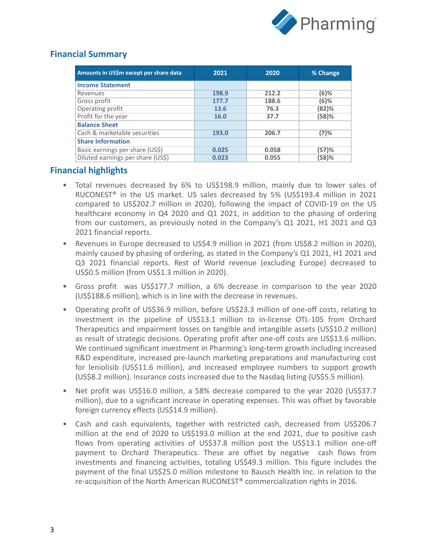

# **Financial Summary**

| Amounts in US\$m except per share data | 2021  | 2020  | % Change |
|----------------------------------------|-------|-------|----------|
| <b>Income Statement</b>                |       |       |          |
| Revenues                               | 198.9 | 212.2 | (6)%     |
| Gross profit                           | 177.7 | 188.6 | $(6)$ %  |
| Operating profit                       | 13.6  | 76.3  | (82)%    |
| Profit for the year                    | 16.0  | 37.7  | (58)%    |
| <b>Balance Sheet</b>                   |       |       |          |
| Cash & marketable securities           | 193.0 | 206.7 | (7)%     |
| <b>Share Information</b>               |       |       |          |
| Basic earnings per share (US\$)        | 0.025 | 0.058 | (57)%    |
| Diluted earnings per share (US\$)      | 0.023 | 0.055 | (58)%    |

# **Financial highlights**

- Total revenues decreased by 6% to US\$198.9 million, mainly due to lower sales of RUCONEST® in the US market. US sales decreased by 5% (US\$193.4 million in 2021 compared to US\$202.7 million in 2020), following the impact of COVID-19 on the US healthcare economy in Q4 2020 and Q1 2021, in addition to the phasing of ordering from our customers, as previously noted in the Company's Q1 2021, H1 2021 and Q3 2021 financial reports.
- Revenues in Europe decreased to US\$4.9 million in 2021 (from US\$8.2 million in 2020), mainly caused by phasing of ordering, as stated in the Company's Q1 2021, H1 2021 and Q3 2021 financial reports. Rest of World revenue (excluding Europe) decreased to US\$0.5 million (from US\$1.3 million in 2020).
- Gross profit was US\$177.7 million, a 6% decrease in comparison to the year 2020 (US\$188.6 million), which is in line with the decrease in revenues.
- Operating profit of US\$36.9 million, before US\$23.3 million of one-off costs, relating to investment in the pipeline of US\$13.1 million to in-license OTL-105 from Orchard Therapeutics and impairment losses on tangible and intangible assets (US\$10.2 million) as result of strategic decisions. Operating profit after one-off costs are US\$13.6 million. We continued significant investment in Pharming's long-term growth including increased R&D expenditure, increased pre-launch marketing preparations and manufacturing cost for leniolisib (US\$11.6 million), and increased employee numbers to support growth (US\$8.2 million). Insurance costs increased due to the Nasdaq listing (US\$5.5 million).
- Net profit was US\$16.0 million, a 58% decrease compared to the year 2020 (US\$37.7 million), due to a significant increase in operating expenses. This was offset by favorable foreign currency effects (US\$14.9 million).
- Cash and cash equivalents, together with restricted cash, decreased from US\$206.7 million at the end of 2020 to US\$193.0 million at the end 2021, due to positive cash flows from operating activities of US\$37.8 million post the US\$13.1 million one-off payment to Orchard Therapeutics. These are offset by negative cash flows from investments and financing activities, totaling US\$49.3 million. This figure includes the payment of the final US\$25.0 million milestone to Bausch Health Inc. in relation to the re-acquisition of the North American RUCONEST® commercialization rights in 2016.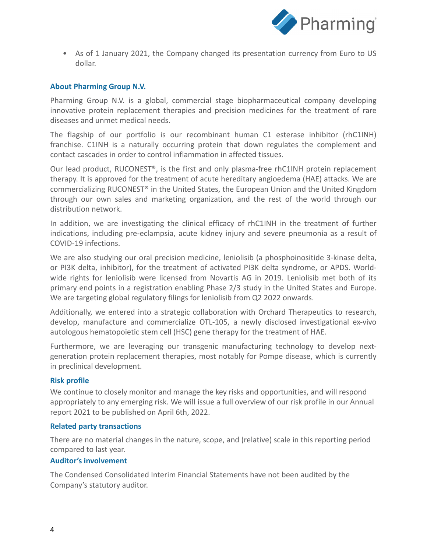

• As of 1 January 2021, the Company changed its presentation currency from Euro to US dollar.

### **About Pharming Group N.V.**

Pharming Group N.V. is a global, commercial stage biopharmaceutical company developing innovative protein replacement therapies and precision medicines for the treatment of rare diseases and unmet medical needs.

The flagship of our portfolio is our recombinant human C1 esterase inhibitor (rhC1INH) franchise. C1INH is a naturally occurring protein that down regulates the complement and contact cascades in order to control inflammation in affected tissues.

Our lead product, RUCONEST®, is the first and only plasma-free rhC1INH protein replacement therapy. It is approved for the treatment of acute hereditary angioedema (HAE) attacks. We are commercializing RUCONEST® in the United States, the European Union and the United Kingdom through our own sales and marketing organization, and the rest of the world through our distribution network.

In addition, we are investigating the clinical efficacy of rhC1INH in the treatment of further indications, including pre-eclampsia, acute kidney injury and severe pneumonia as a result of COVID-19 infections.

We are also studying our oral precision medicine, leniolisib (a phosphoinositide 3-kinase delta, or PI3K delta, inhibitor), for the treatment of activated PI3K delta syndrome, or APDS. Worldwide rights for leniolisib were licensed from Novartis AG in 2019. Leniolisib met both of its primary end points in a registration enabling Phase 2/3 study in the United States and Europe. We are targeting global regulatory filings for leniolisib from Q2 2022 onwards.

Additionally, we entered into a strategic collaboration with Orchard Therapeutics to research, develop, manufacture and commercialize OTL-105, a newly disclosed investigational ex-vivo autologous hematopoietic stem cell (HSC) gene therapy for the treatment of HAE.

Furthermore, we are leveraging our transgenic manufacturing technology to develop nextgeneration protein replacement therapies, most notably for Pompe disease, which is currently in preclinical development.

#### **Risk profile**

We continue to closely monitor and manage the key risks and opportunities, and will respond appropriately to any emerging risk. We will issue a full overview of our risk profile in our Annual report 2021 to be published on April 6th, 2022.

#### **Related party transactions**

There are no material changes in the nature, scope, and (relative) scale in this reporting period compared to last year.

#### **Auditor's involvement**

The Condensed Consolidated Interim Financial Statements have not been audited by the Company's statutory auditor.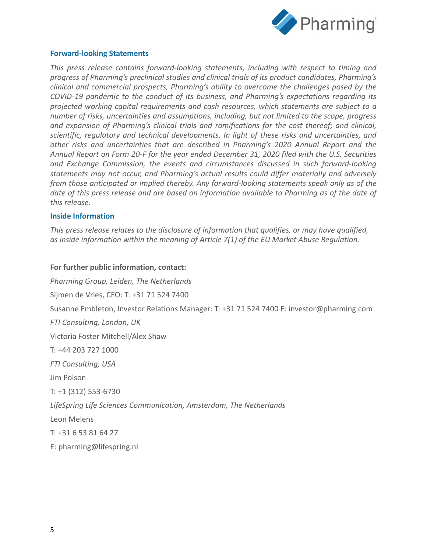

#### **Forward-looking Statements**

*This press release contains forward-looking statements, including with respect to timing and progress of Pharming's preclinical studies and clinical trials of its product candidates, Pharming's clinical and commercial prospects, Pharming's ability to overcome the challenges posed by the COVID-19 pandemic to the conduct of its business, and Pharming's expectations regarding its projected working capital requirements and cash resources, which statements are subject to a number of risks, uncertainties and assumptions, including, but not limited to the scope, progress and expansion of Pharming's clinical trials and ramifications for the cost thereof; and clinical, scientific, regulatory and technical developments. In light of these risks and uncertainties, and other risks and uncertainties that are described in Pharming's 2020 Annual Report and the Annual Report on Form 20-F for the year ended December 31, 2020 filed with the U.S. Securities and Exchange Commission, the events and circumstances discussed in such forward-looking statements may not occur, and Pharming's actual results could differ materially and adversely from those anticipated or implied thereby. Any forward-looking statements speak only as of the date of this press release and are based on information available to Pharming as of the date of this release.*

#### **Inside Information**

*This press release relates to the disclosure of information that qualifies, or may have qualified, as inside information within the meaning of Article 7(1) of the EU Market Abuse Regulation.*

#### **For further public information, contact:**

*Pharming Group, Leiden, The Netherlands* Sijmen de Vries, CEO: T: +31 71 524 7400 Susanne Embleton, Investor Relations Manager: T: +31 71 524 7400 E: investor@pharming.com *FTI Consulting, London, UK* Victoria Foster Mitchell/Alex Shaw T: +44 203 727 1000 *FTI Consulting, USA* Jim Polson T: +1 (312) 553-6730 *LifeSpring Life Sciences Communication, Amsterdam, The Netherlands* Leon Melens T: +31 6 53 81 64 27 E: pharming@lifespring.nl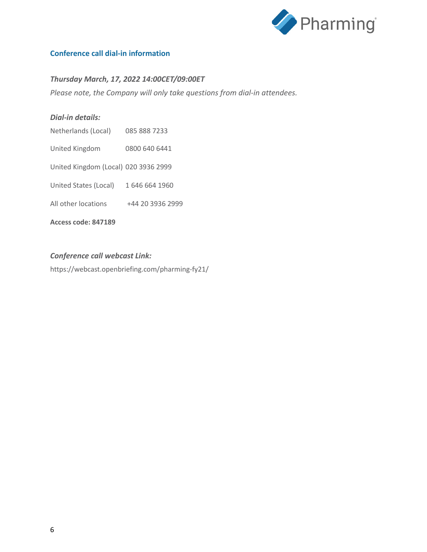

# **Conference call dial-in information**

# *Thursday March, 17, 2022 14:00CET/09:00ET*

*Please note, the Company will only take questions from dial-in attendees.*

#### *Dial-in details:*

- Netherlands (Local) 085 888 7233
- United Kingdom 0800 640 6441
- United Kingdom (Local) 020 3936 2999
- United States (Local) 1 646 664 1960
- All other locations +44 20 3936 2999

**Access code: 847189**

#### *Conference call webcast Link:*

https://webcast.openbriefing.com/pharming-fy21/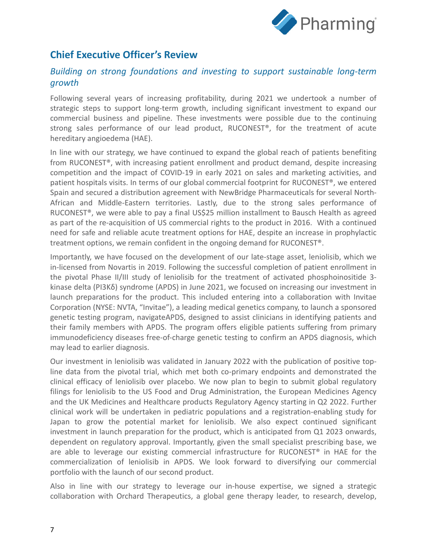

# **Chief Executive Officer's Review**

# *Building on strong foundations and investing to support sustainable long-term growth*

Following several years of increasing profitability, during 2021 we undertook a number of strategic steps to support long-term growth, including significant investment to expand our commercial business and pipeline. These investments were possible due to the continuing strong sales performance of our lead product, RUCONEST®, for the treatment of acute hereditary angioedema (HAE).

In line with our strategy, we have continued to expand the global reach of patients benefiting from RUCONEST®, with increasing patient enrollment and product demand, despite increasing competition and the impact of COVID-19 in early 2021 on sales and marketing activities, and patient hospitals visits. In terms of our global commercial footprint for RUCONEST®, we entered Spain and secured a distribution agreement with NewBridge Pharmaceuticals for several North-African and Middle-Eastern territories. Lastly, due to the strong sales performance of RUCONEST®, we were able to pay a final US\$25 million installment to Bausch Health as agreed as part of the re-acquisition of US commercial rights to the product in 2016. With a continued need for safe and reliable acute treatment options for HAE, despite an increase in prophylactic treatment options, we remain confident in the ongoing demand for RUCONEST®.

Importantly, we have focused on the development of our late-stage asset, leniolisib, which we in-licensed from Novartis in 2019. Following the successful completion of patient enrollment in the pivotal Phase II/III study of leniolisib for the treatment of activated phosphoinositide 3 kinase delta (PI3Kδ) syndrome (APDS) in June 2021, we focused on increasing our investment in launch preparations for the product. This included entering into a collaboration with Invitae Corporation (NYSE: NVTA, "Invitae"), a leading medical genetics company, to launch a sponsored genetic testing program, navigateAPDS, designed to assist clinicians in identifying patients and their family members with APDS. The program offers eligible patients suffering from primary immunodeficiency diseases free-of-charge genetic testing to confirm an APDS diagnosis, which may lead to earlier diagnosis.

Our investment in leniolisib was validated in January 2022 with the publication of positive topline data from the pivotal trial, which met both co-primary endpoints and demonstrated the clinical efficacy of leniolisib over placebo. We now plan to begin to submit global regulatory filings for leniolisib to the US Food and Drug Administration, the European Medicines Agency and the UK Medicines and Healthcare products Regulatory Agency starting in Q2 2022. Further clinical work will be undertaken in pediatric populations and a registration-enabling study for Japan to grow the potential market for leniolisib. We also expect continued significant investment in launch preparation for the product, which is anticipated from Q1 2023 onwards, dependent on regulatory approval. Importantly, given the small specialist prescribing base, we are able to leverage our existing commercial infrastructure for RUCONEST® in HAE for the commercialization of leniolisib in APDS. We look forward to diversifying our commercial portfolio with the launch of our second product.

Also in line with our strategy to leverage our in-house expertise, we signed a strategic collaboration with Orchard Therapeutics, a global gene therapy leader, to research, develop,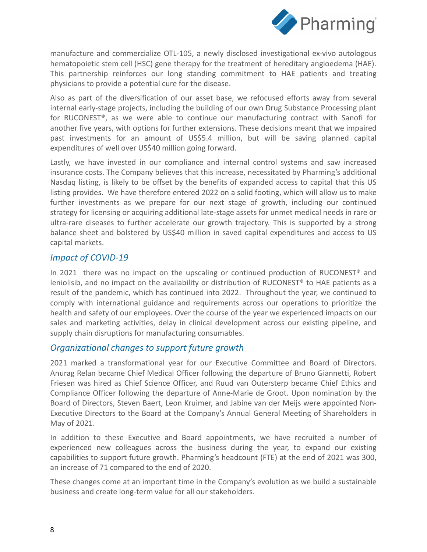

manufacture and commercialize OTL-105, a newly disclosed investigational ex-vivo autologous hematopoietic stem cell (HSC) gene therapy for the treatment of hereditary angioedema (HAE). This partnership reinforces our long standing commitment to HAE patients and treating physicians to provide a potential cure for the disease.

Also as part of the diversification of our asset base, we refocused efforts away from several internal early-stage projects, including the building of our own Drug Substance Processing plant for RUCONEST®, as we were able to continue our manufacturing contract with Sanofi for another five years, with options for further extensions. These decisions meant that we impaired past investments for an amount of US\$5.4 million, but will be saving planned capital expenditures of well over US\$40 million going forward.

Lastly, we have invested in our compliance and internal control systems and saw increased insurance costs. The Company believes that this increase, necessitated by Pharming's additional Nasdaq listing, is likely to be offset by the benefits of expanded access to capital that this US listing provides. We have therefore entered 2022 on a solid footing, which will allow us to make further investments as we prepare for our next stage of growth, including our continued strategy for licensing or acquiring additional late-stage assets for unmet medical needs in rare or ultra-rare diseases to further accelerate our growth trajectory. This is supported by a strong balance sheet and bolstered by US\$40 million in saved capital expenditures and access to US capital markets.

# *Impact of COVID-19*

In 2021 there was no impact on the upscaling or continued production of RUCONEST® and leniolisib, and no impact on the availability or distribution of RUCONEST® to HAE patients as a result of the pandemic, which has continued into 2022. Throughout the year, we continued to comply with international guidance and requirements across our operations to prioritize the health and safety of our employees. Over the course of the year we experienced impacts on our sales and marketing activities, delay in clinical development across our existing pipeline, and supply chain disruptions for manufacturing consumables.

# *Organizational changes to support future growth*

2021 marked a transformational year for our Executive Committee and Board of Directors. Anurag Relan became Chief Medical Officer following the departure of Bruno Giannetti, Robert Friesen was hired as Chief Science Officer, and Ruud van Outersterp became Chief Ethics and Compliance Officer following the departure of Anne-Marie de Groot. Upon nomination by the Board of Directors, Steven Baert, Leon Kruimer, and Jabine van der Meijs were appointed Non-Executive Directors to the Board at the Company's Annual General Meeting of Shareholders in May of 2021.

In addition to these Executive and Board appointments, we have recruited a number of experienced new colleagues across the business during the year, to expand our existing capabilities to support future growth. Pharming's headcount (FTE) at the end of 2021 was 300, an increase of 71 compared to the end of 2020.

These changes come at an important time in the Company's evolution as we build a sustainable business and create long-term value for all our stakeholders.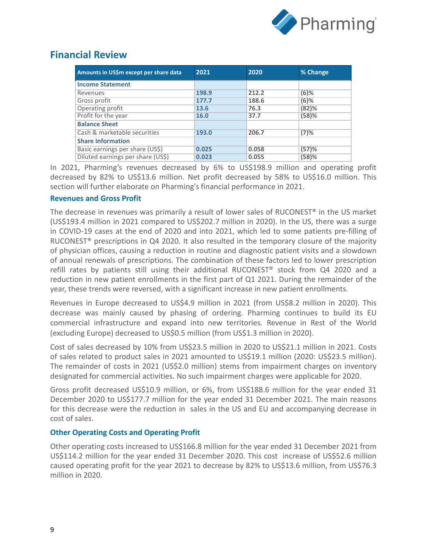

# **Financial Review**

| Amounts in US\$m except per share data | 2021  | 2020  | % Change |
|----------------------------------------|-------|-------|----------|
| <b>Income Statement</b>                |       |       |          |
| Revenues                               | 198.9 | 212.2 | $(6)$ %  |
| Gross profit                           | 177.7 | 188.6 | $(6)$ %  |
| Operating profit                       | 13.6  | 76.3  | (82)%    |
| Profit for the year                    | 16.0  | 37.7  | (58)%    |
| <b>Balance Sheet</b>                   |       |       |          |
| Cash & marketable securities           | 193.0 | 206.7 | $(7)$ %  |
| <b>Share Information</b>               |       |       |          |
| Basic earnings per share (US\$)        | 0.025 | 0.058 | (57)%    |
| Diluted earnings per share (US\$)      | 0.023 | 0.055 | (58)%    |

In 2021, Pharming's revenues decreased by 6% to US\$198.9 million and operating profit decreased by 82% to US\$13.6 million. Net profit decreased by 58% to US\$16.0 million. This section will further elaborate on Pharming's financial performance in 2021.

### **Revenues and Gross Profit**

The decrease in revenues was primarily a result of lower sales of RUCONEST<sup>®</sup> in the US market (US\$193.4 million in 2021 compared to US\$202.7 million in 2020). In the US, there was a surge in COVID-19 cases at the end of 2020 and into 2021, which led to some patients pre-filling of RUCONEST® prescriptions in Q4 2020. It also resulted in the temporary closure of the majority of physician offices, causing a reduction in routine and diagnostic patient visits and a slowdown of annual renewals of prescriptions. The combination of these factors led to lower prescription refill rates by patients still using their additional RUCONEST® stock from Q4 2020 and a reduction in new patient enrollments in the first part of Q1 2021. During the remainder of the year, these trends were reversed, with a significant increase in new patient enrollments.

Revenues in Europe decreased to US\$4.9 million in 2021 (from US\$8.2 million in 2020). This decrease was mainly caused by phasing of ordering. Pharming continues to build its EU commercial infrastructure and expand into new territories. Revenue in Rest of the World (excluding Europe) decreased to US\$0.5 million (from US\$1.3 million in 2020).

Cost of sales decreased by 10% from US\$23.5 million in 2020 to US\$21.1 million in 2021. Costs of sales related to product sales in 2021 amounted to US\$19.1 million (2020: US\$23.5 million). The remainder of costs in 2021 (US\$2.0 million) stems from impairment charges on inventory designated for commercial activities. No such impairment charges were applicable for 2020.

Gross profit decreased US\$10.9 million, or 6%, from US\$188.6 million for the year ended 31 December 2020 to US\$177.7 million for the year ended 31 December 2021. The main reasons for this decrease were the reduction in sales in the US and EU and accompanying decrease in cost of sales.

### **Other Operating Costs and Operating Profit**

Other operating costs increased to US\$166.8 million for the year ended 31 December 2021 from US\$114.2 million for the year ended 31 December 2020. This cost increase of US\$52.6 million caused operating profit for the year 2021 to decrease by 82% to US\$13.6 million, from US\$76.3 million in 2020.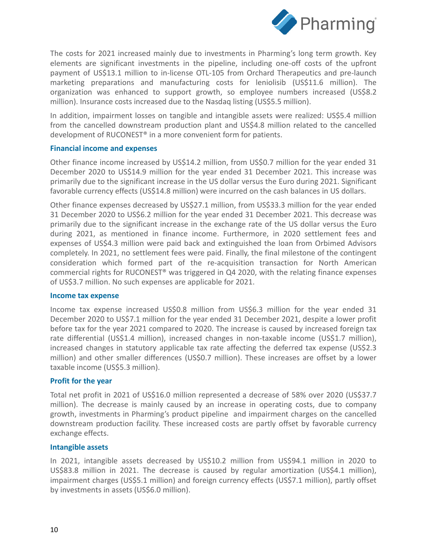

The costs for 2021 increased mainly due to investments in Pharming's long term growth. Key elements are significant investments in the pipeline, including one-off costs of the upfront payment of US\$13.1 million to in-license OTL-105 from Orchard Therapeutics and pre-launch marketing preparations and manufacturing costs for leniolisib (US\$11.6 million). The organization was enhanced to support growth, so employee numbers increased (US\$8.2 million). Insurance costs increased due to the Nasdaq listing (US\$5.5 million).

In addition, impairment losses on tangible and intangible assets were realized: US\$5.4 million from the cancelled downstream production plant and US\$4.8 million related to the cancelled development of RUCONEST® in a more convenient form for patients.

#### **Financial income and expenses**

Other finance income increased by US\$14.2 million, from US\$0.7 million for the year ended 31 December 2020 to US\$14.9 million for the year ended 31 December 2021. This increase was primarily due to the significant increase in the US dollar versus the Euro during 2021. Significant favorable currency effects (US\$14.8 million) were incurred on the cash balances in US dollars.

Other finance expenses decreased by US\$27.1 million, from US\$33.3 million for the year ended 31 December 2020 to US\$6.2 million for the year ended 31 December 2021. This decrease was primarily due to the significant increase in the exchange rate of the US dollar versus the Euro during 2021, as mentioned in finance income. Furthermore, in 2020 settlement fees and expenses of US\$4.3 million were paid back and extinguished the loan from Orbimed Advisors completely. In 2021, no settlement fees were paid. Finally, the final milestone of the contingent consideration which formed part of the re-acquisition transaction for North American commercial rights for RUCONEST® was triggered in Q4 2020, with the relating finance expenses of US\$3.7 million. No such expenses are applicable for 2021.

#### **Income tax expense**

Income tax expense increased US\$0.8 million from US\$6.3 million for the year ended 31 December 2020 to US\$7.1 million for the year ended 31 December 2021, despite a lower profit before tax for the year 2021 compared to 2020. The increase is caused by increased foreign tax rate differential (US\$1.4 million), increased changes in non-taxable income (US\$1.7 million), increased changes in statutory applicable tax rate affecting the deferred tax expense (US\$2.3 million) and other smaller differences (US\$0.7 million). These increases are offset by a lower taxable income (US\$5.3 million).

#### **Profit for the year**

Total net profit in 2021 of US\$16.0 million represented a decrease of 58% over 2020 (US\$37.7 million). The decrease is mainly caused by an increase in operating costs, due to company growth, investments in Pharming's product pipeline and impairment charges on the cancelled downstream production facility. These increased costs are partly offset by favorable currency exchange effects.

#### **Intangible assets**

In 2021, intangible assets decreased by US\$10.2 million from US\$94.1 million in 2020 to US\$83.8 million in 2021. The decrease is caused by regular amortization (US\$4.1 million), impairment charges (US\$5.1 million) and foreign currency effects (US\$7.1 million), partly offset by investments in assets (US\$6.0 million).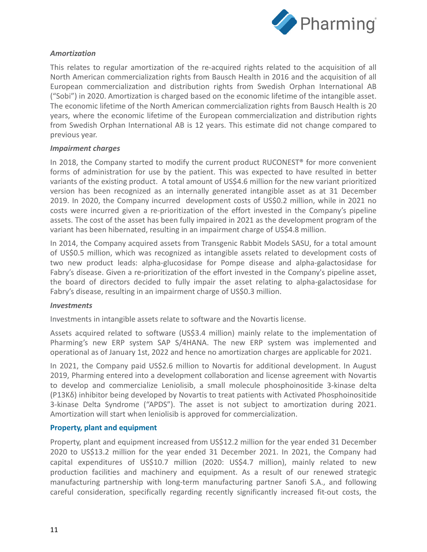

# *Amortization*

This relates to regular amortization of the re-acquired rights related to the acquisition of all North American commercialization rights from Bausch Health in 2016 and the acquisition of all European commercialization and distribution rights from Swedish Orphan International AB ("Sobi") in 2020. Amortization is charged based on the economic lifetime of the intangible asset. The economic lifetime of the North American commercialization rights from Bausch Health is 20 years, where the economic lifetime of the European commercialization and distribution rights from Swedish Orphan International AB is 12 years. This estimate did not change compared to previous year.

### *Impairment charges*

In 2018, the Company started to modify the current product RUCONEST<sup>®</sup> for more convenient forms of administration for use by the patient. This was expected to have resulted in better variants of the existing product. A total amount of US\$4.6 million for the new variant prioritized version has been recognized as an internally generated intangible asset as at 31 December 2019. In 2020, the Company incurred development costs of US\$0.2 million, while in 2021 no costs were incurred given a re-prioritization of the effort invested in the Company's pipeline assets. The cost of the asset has been fully impaired in 2021 as the development program of the variant has been hibernated, resulting in an impairment charge of US\$4.8 million.

In 2014, the Company acquired assets from Transgenic Rabbit Models SASU, for a total amount of US\$0.5 million, which was recognized as intangible assets related to development costs of two new product leads: alpha-glucosidase for Pompe disease and alpha-galactosidase for Fabry's disease. Given a re-prioritization of the effort invested in the Company's pipeline asset, the board of directors decided to fully impair the asset relating to alpha-galactosidase for Fabry's disease, resulting in an impairment charge of US\$0.3 million.

### *Investments*

Investments in intangible assets relate to software and the Novartis license.

Assets acquired related to software (US\$3.4 million) mainly relate to the implementation of Pharming's new ERP system SAP S/4HANA. The new ERP system was implemented and operational as of January 1st, 2022 and hence no amortization charges are applicable for 2021.

In 2021, the Company paid US\$2.6 million to Novartis for additional development. In August 2019, Pharming entered into a development collaboration and license agreement with Novartis to develop and commercialize Leniolisib, a small molecule phosphoinositide 3-kinase delta (P13Kδ) inhibitor being developed by Novartis to treat patients with Activated Phosphoinositide 3-kinase Delta Syndrome ("APDS"). The asset is not subject to amortization during 2021. Amortization will start when leniolisib is approved for commercialization.

### **Property, plant and equipment**

Property, plant and equipment increased from US\$12.2 million for the year ended 31 December 2020 to US\$13.2 million for the year ended 31 December 2021. In 2021, the Company had capital expenditures of US\$10.7 million (2020: US\$4.7 million), mainly related to new production facilities and machinery and equipment. As a result of our renewed strategic manufacturing partnership with long-term manufacturing partner Sanofi S.A., and following careful consideration, specifically regarding recently significantly increased fit-out costs, the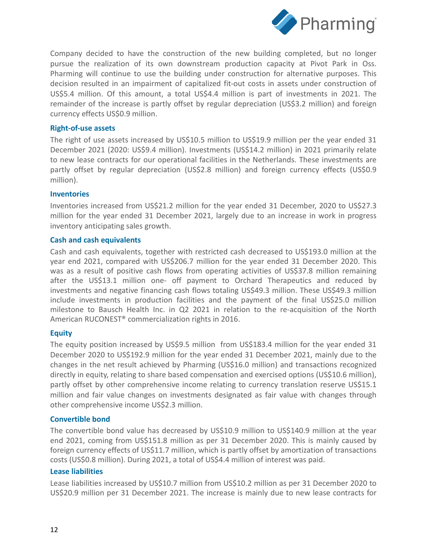

Company decided to have the construction of the new building completed, but no longer pursue the realization of its own downstream production capacity at Pivot Park in Oss. Pharming will continue to use the building under construction for alternative purposes. This decision resulted in an impairment of capitalized fit-out costs in assets under construction of US\$5.4 million. Of this amount, a total US\$4.4 million is part of investments in 2021. The remainder of the increase is partly offset by regular depreciation (US\$3.2 million) and foreign currency effects US\$0.9 million.

#### **Right-of-use assets**

The right of use assets increased by US\$10.5 million to US\$19.9 million per the year ended 31 December 2021 (2020: US\$9.4 million). Investments (US\$14.2 million) in 2021 primarily relate to new lease contracts for our operational facilities in the Netherlands. These investments are partly offset by regular depreciation (US\$2.8 million) and foreign currency effects (US\$0.9 million).

#### **Inventories**

Inventories increased from US\$21.2 million for the year ended 31 December, 2020 to US\$27.3 million for the year ended 31 December 2021, largely due to an increase in work in progress inventory anticipating sales growth.

#### **Cash and cash equivalents**

Cash and cash equivalents, together with restricted cash decreased to US\$193.0 million at the year end 2021, compared with US\$206.7 million for the year ended 31 December 2020. This was as a result of positive cash flows from operating activities of US\$37.8 million remaining after the US\$13.1 million one- off payment to Orchard Therapeutics and reduced by investments and negative financing cash flows totaling US\$49.3 million. These US\$49.3 million include investments in production facilities and the payment of the final US\$25.0 million milestone to Bausch Health Inc. in Q2 2021 in relation to the re-acquisition of the North American RUCONEST® commercialization rights in 2016.

### **Equity**

The equity position increased by US\$9.5 million from US\$183.4 million for the year ended 31 December 2020 to US\$192.9 million for the year ended 31 December 2021, mainly due to the changes in the net result achieved by Pharming (US\$16.0 million) and transactions recognized directly in equity, relating to share based compensation and exercised options (US\$10.6 million), partly offset by other comprehensive income relating to currency translation reserve US\$15.1 million and fair value changes on investments designated as fair value with changes through other comprehensive income US\$2.3 million.

### **Convertible bond**

The convertible bond value has decreased by US\$10.9 million to US\$140.9 million at the year end 2021, coming from US\$151.8 million as per 31 December 2020. This is mainly caused by foreign currency effects of US\$11.7 million, which is partly offset by amortization of transactions costs (US\$0.8 million). During 2021, a total of US\$4.4 million of interest was paid.

#### **Lease liabilities**

Lease liabilities increased by US\$10.7 million from US\$10.2 million as per 31 December 2020 to US\$20.9 million per 31 December 2021. The increase is mainly due to new lease contracts for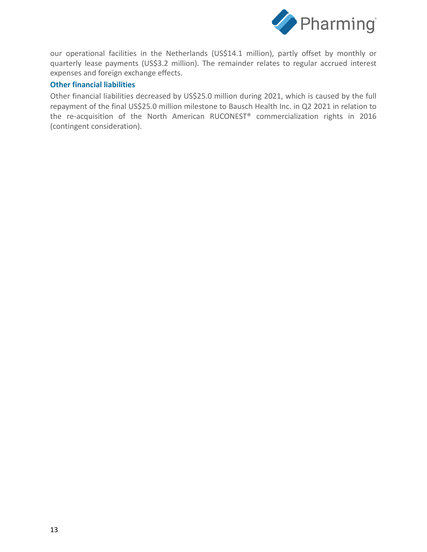

our operational facilities in the Netherlands (US\$14.1 million), partly offset by monthly or quarterly lease payments (US\$3.2 million). The remainder relates to regular accrued interest expenses and foreign exchange effects.

## **Other financial liabilities**

Other financial liabilities decreased by US\$25.0 million during 2021, which is caused by the full repayment of the final US\$25.0 million milestone to Bausch Health Inc. in Q2 2021 in relation to the re-acquisition of the North American RUCONEST® commercialization rights in 2016 (contingent consideration).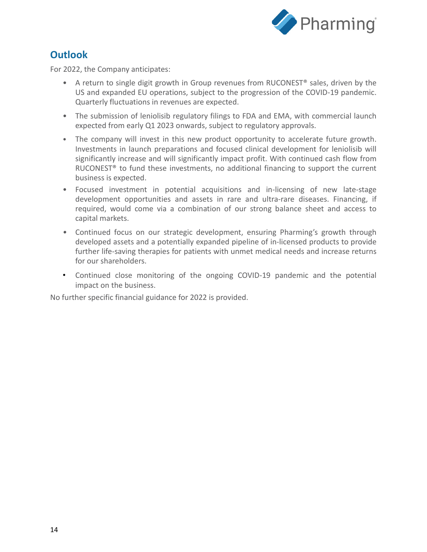

# **Outlook**

For 2022, the Company anticipates:

- A return to single digit growth in Group revenues from RUCONEST<sup>®</sup> sales, driven by the US and expanded EU operations, subject to the progression of the COVID-19 pandemic. Quarterly fluctuations in revenues are expected.
- The submission of leniolisib regulatory filings to FDA and EMA, with commercial launch expected from early Q1 2023 onwards, subject to regulatory approvals.
- The company will invest in this new product opportunity to accelerate future growth. Investments in launch preparations and focused clinical development for leniolisib will significantly increase and will significantly impact profit. With continued cash flow from RUCONEST® to fund these investments, no additional financing to support the current business is expected.
- Focused investment in potential acquisitions and in-licensing of new late-stage development opportunities and assets in rare and ultra-rare diseases. Financing, if required, would come via a combination of our strong balance sheet and access to capital markets.
- *•* Continued focus on our strategic development, ensuring Pharming's growth through developed assets and a potentially expanded pipeline of in-licensed products to provide further life-saving therapies for patients with unmet medical needs and increase returns for our shareholders.
- Continued close monitoring of the ongoing COVID-19 pandemic and the potential impact on the business.

No further specific financial guidance for 2022 is provided.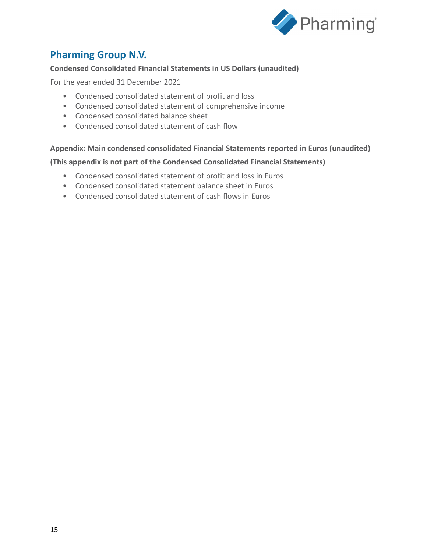

# **Pharming Group N.V.**

# **Condensed Consolidated Financial Statements in US Dollars (unaudited)**

For the year ended 31 December 2021

- Condensed consolidated statement of profit and loss
- Condensed consolidated statement of comprehensive income
- Condensed consolidated balance sheet
- Condensed consolidated statement of cash flow

### **Appendix: Main condensed consolidated Financial Statements reported in Euros (unaudited)**

### **(This appendix is not part of the Condensed Consolidated Financial Statements)**

- Condensed consolidated statement of profit and loss in Euros
- Condensed consolidated statement balance sheet in Euros
- Condensed consolidated statement of cash flows in Euros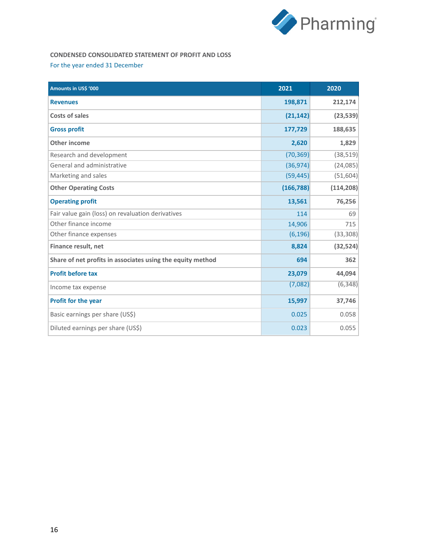

# **CONDENSED CONSOLIDATED STATEMENT OF PROFIT AND LOSS**

#### For the year ended 31 December

| Amounts in US\$ '000                                       | 2021       | 2020       |
|------------------------------------------------------------|------------|------------|
| <b>Revenues</b>                                            | 198,871    | 212,174    |
| <b>Costs of sales</b>                                      | (21, 142)  | (23, 539)  |
| <b>Gross profit</b>                                        | 177,729    | 188,635    |
| Other income                                               | 2,620      | 1,829      |
| Research and development                                   | (70, 369)  | (38, 519)  |
| General and administrative                                 | (36, 974)  | (24, 085)  |
| Marketing and sales                                        | (59, 445)  | (51, 604)  |
| <b>Other Operating Costs</b>                               | (166, 788) | (114, 208) |
| <b>Operating profit</b>                                    | 13,561     | 76,256     |
| Fair value gain (loss) on revaluation derivatives          | 114        | 69         |
| Other finance income                                       | 14,906     | 715        |
| Other finance expenses                                     | (6, 196)   | (33, 308)  |
| Finance result, net                                        | 8,824      | (32, 524)  |
| Share of net profits in associates using the equity method | 694        | 362        |
| <b>Profit before tax</b>                                   | 23,079     | 44,094     |
| Income tax expense                                         | (7,082)    | (6, 348)   |
| Profit for the year                                        | 15,997     | 37,746     |
| Basic earnings per share (US\$)                            | 0.025      | 0.058      |
| Diluted earnings per share (US\$)                          | 0.023      | 0.055      |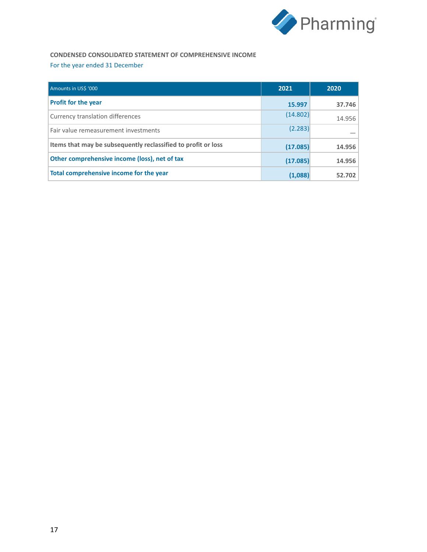

# **CONDENSED CONSOLIDATED STATEMENT OF COMPREHENSIVE INCOME** For the year ended 31 December

| Amounts in USS '000                                           | 2021     | 2020   |
|---------------------------------------------------------------|----------|--------|
| <b>Profit for the year</b>                                    | 15.997   | 37.746 |
| Currency translation differences                              | (14.802) | 14.956 |
| Fair value remeasurement investments                          | (2.283)  |        |
| Items that may be subsequently reclassified to profit or loss | (17.085) | 14.956 |
| Other comprehensive income (loss), net of tax                 | (17.085) | 14.956 |
| Total comprehensive income for the year                       | (1,088)  | 52.702 |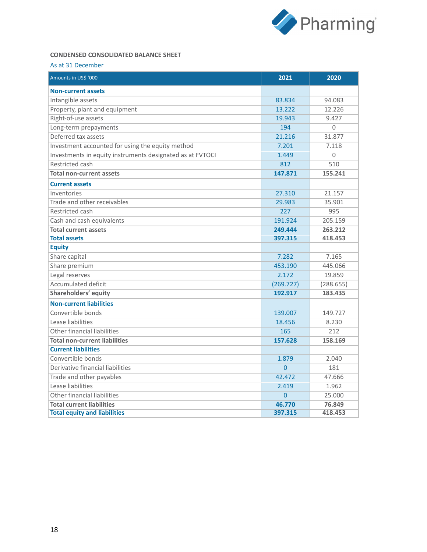

## **CONDENSED CONSOLIDATED BALANCE SHEET**

#### As at 31 December

| Amounts in US\$ '000                                      | 2021           | 2020      |
|-----------------------------------------------------------|----------------|-----------|
| <b>Non-current assets</b>                                 |                |           |
| Intangible assets                                         | 83.834         | 94.083    |
| Property, plant and equipment                             | 13.222         | 12.226    |
| Right-of-use assets                                       | 19.943         | 9.427     |
| Long-term prepayments                                     | 194            | $\Omega$  |
| Deferred tax assets                                       | 21.216         | 31.877    |
| Investment accounted for using the equity method          | 7.201          | 7.118     |
| Investments in equity instruments designated as at FVTOCI | 1.449          | $\Omega$  |
| Restricted cash                                           | 812            | 510       |
| <b>Total non-current assets</b>                           | 147.871        | 155.241   |
| <b>Current assets</b>                                     |                |           |
| Inventories                                               | 27.310         | 21.157    |
| Trade and other receivables                               | 29.983         | 35.901    |
| Restricted cash                                           | 227            | 995       |
| Cash and cash equivalents                                 | 191.924        | 205.159   |
| <b>Total current assets</b>                               | 249.444        | 263.212   |
| <b>Total assets</b>                                       | 397.315        | 418.453   |
| <b>Equity</b>                                             |                |           |
| Share capital                                             | 7.282          | 7.165     |
| Share premium                                             | 453.190        | 445.066   |
| Legal reserves                                            | 2.172          | 19.859    |
| Accumulated deficit                                       | (269.727)      | (288.655) |
| Shareholders' equity                                      | 192.917        | 183.435   |
| <b>Non-current liabilities</b>                            |                |           |
| Convertible bonds                                         | 139.007        | 149.727   |
| Lease liabilities                                         | 18.456         | 8.230     |
| Other financial liabilities                               | 165            | 212       |
| <b>Total non-current liabilities</b>                      | 157.628        | 158.169   |
| <b>Current liabilities</b>                                |                |           |
| Convertible bonds                                         | 1.879          | 2.040     |
| Derivative financial liabilities                          | $\overline{0}$ | 181       |
| Trade and other payables                                  | 42.472         | 47.666    |
| Lease liabilities                                         | 2.419          | 1.962     |
| Other financial liabilities                               | $\overline{0}$ | 25.000    |
| <b>Total current liabilities</b>                          | 46.770         | 76.849    |
| <b>Total equity and liabilities</b>                       | 397.315        | 418.453   |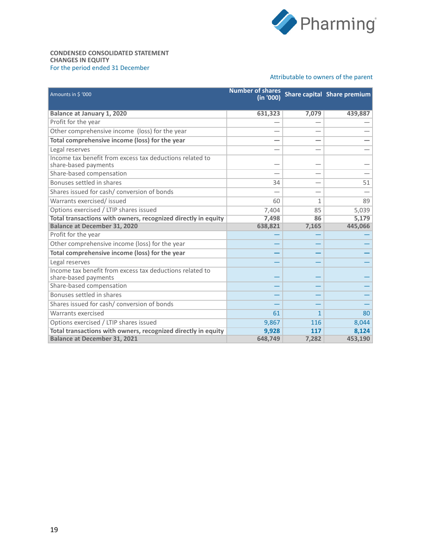

#### **CONDENSED CONSOLIDATED STATEMENT CHANGES IN EQUITY** For the period ended 31 December

#### Attributable to owners of the parent

| Amounts in \$ '000                                                               | <b>Number of shares</b><br>(in '000) |              | Share capital Share premium |
|----------------------------------------------------------------------------------|--------------------------------------|--------------|-----------------------------|
| <b>Balance at January 1, 2020</b>                                                | 631,323                              | 7,079        | 439,887                     |
| Profit for the year                                                              |                                      |              |                             |
| Other comprehensive income (loss) for the year                                   |                                      |              |                             |
| Total comprehensive income (loss) for the year                                   |                                      |              |                             |
| Legal reserves                                                                   |                                      |              |                             |
| Income tax benefit from excess tax deductions related to<br>share-based payments |                                      |              |                             |
| Share-based compensation                                                         |                                      |              |                             |
| Bonuses settled in shares                                                        | 34                                   |              | 51                          |
| Shares issued for cash/ conversion of bonds                                      |                                      |              |                             |
| Warrants exercised/ issued                                                       | 60                                   | 1            | 89                          |
| Options exercised / LTIP shares issued                                           | 7,404                                | 85           | 5,039                       |
| Total transactions with owners, recognized directly in equity                    | 7,498                                | 86           | 5,179                       |
| <b>Balance at December 31, 2020</b>                                              | 638,821                              | 7,165        | 445,066                     |
| Profit for the year                                                              |                                      |              |                             |
| Other comprehensive income (loss) for the year                                   |                                      |              |                             |
| Total comprehensive income (loss) for the year                                   |                                      |              |                             |
| Legal reserves                                                                   |                                      |              |                             |
| Income tax benefit from excess tax deductions related to<br>share-based payments |                                      |              |                             |
| Share-based compensation                                                         |                                      |              |                             |
| Bonuses settled in shares                                                        |                                      |              |                             |
| Shares issued for cash/ conversion of bonds                                      |                                      |              |                             |
| Warrants exercised                                                               | 61                                   | $\mathbf{1}$ | 80                          |
| Options exercised / LTIP shares issued                                           | 9,867                                | 116          | 8,044                       |
| Total transactions with owners, recognized directly in equity                    | 9,928                                | 117          | 8,124                       |
| <b>Balance at December 31, 2021</b>                                              | 648,749                              | 7,282        | 453,190                     |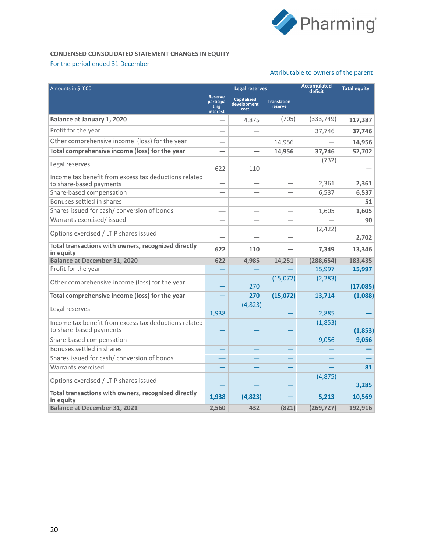

#### **CONDENSED CONSOLIDATED STATEMENT CHANGES IN EQUITY** For the period ended 31 December

#### Attributable to owners of the parent

| Amounts in \$ '000                                                               |                                                        | <b>Legal reserves</b>                     |                               | <b>Accumulated</b><br>deficit | <b>Total equity</b> |
|----------------------------------------------------------------------------------|--------------------------------------------------------|-------------------------------------------|-------------------------------|-------------------------------|---------------------|
|                                                                                  | <b>Reserve</b><br>participa<br>ting<br><b>interest</b> | <b>Capitalized</b><br>development<br>cost | <b>Translation</b><br>reserve |                               |                     |
| <b>Balance at January 1, 2020</b>                                                |                                                        | 4,875                                     | (705)                         | (333, 749)                    | 117,387             |
| Profit for the year                                                              |                                                        |                                           |                               | 37,746                        | 37,746              |
| Other comprehensive income (loss) for the year                                   |                                                        |                                           | 14,956                        |                               | 14,956              |
| Total comprehensive income (loss) for the year                                   |                                                        |                                           | 14,956                        | 37,746                        | 52,702              |
| Legal reserves                                                                   | 622                                                    | 110                                       |                               | (732)                         |                     |
| Income tax benefit from excess tax deductions related<br>to share-based payments |                                                        |                                           |                               | 2,361                         | 2,361               |
| Share-based compensation                                                         |                                                        |                                           |                               | 6,537                         | 6,537               |
| Bonuses settled in shares                                                        |                                                        |                                           |                               |                               | 51                  |
| Shares issued for cash/ conversion of bonds                                      |                                                        |                                           |                               | 1,605                         | 1,605               |
| Warrants exercised/ issued                                                       |                                                        |                                           |                               |                               | 90                  |
| Options exercised / LTIP shares issued                                           |                                                        |                                           |                               | (2,422)                       | 2,702               |
| Total transactions with owners, recognized directly<br>in equity                 | 622                                                    | 110                                       |                               | 7,349                         | 13,346              |
| <b>Balance at December 31, 2020</b>                                              | 622                                                    | 4,985                                     | 14,251                        | (288, 654)                    | 183,435             |
| Profit for the year                                                              |                                                        |                                           |                               | 15,997                        | 15,997              |
| Other comprehensive income (loss) for the year                                   |                                                        | 270                                       | (15,072)                      | (2, 283)                      | (17,085)            |
| Total comprehensive income (loss) for the year                                   |                                                        | 270                                       | (15,072)                      | 13,714                        | (1,088)             |
| Legal reserves                                                                   | 1,938                                                  | (4,823)                                   |                               | 2,885                         |                     |
| Income tax benefit from excess tax deductions related<br>to share-based payments |                                                        |                                           |                               | (1,853)                       | (1,853)             |
| Share-based compensation                                                         |                                                        |                                           |                               | 9,056                         | 9,056               |
| Bonuses settled in shares                                                        |                                                        |                                           |                               |                               |                     |
| Shares issued for cash/ conversion of bonds                                      |                                                        |                                           |                               |                               |                     |
| Warrants exercised                                                               |                                                        |                                           |                               |                               | 81                  |
| Options exercised / LTIP shares issued                                           |                                                        |                                           |                               | (4,875)                       | 3,285               |
| Total transactions with owners, recognized directly<br>in equity                 | 1,938                                                  | (4,823)                                   |                               | 5,213                         | 10,569              |
| <b>Balance at December 31, 2021</b>                                              | 2,560                                                  | 432                                       | (821)                         | (269, 727)                    | 192,916             |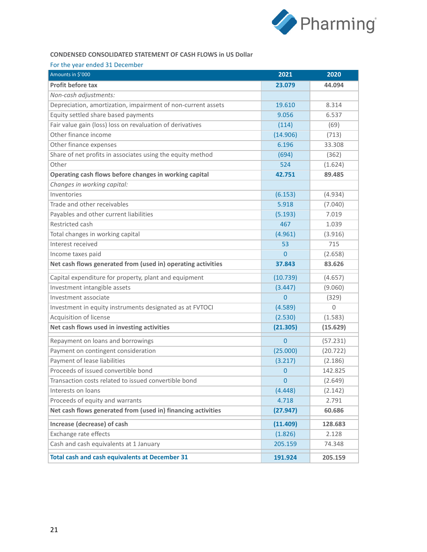

#### **CONDENSED CONSOLIDATED STATEMENT OF CASH FLOWS in US Dollar**

#### For the year ended 31 December

| Amounts in \$'000                                            | 2021           | 2020     |
|--------------------------------------------------------------|----------------|----------|
| Profit before tax                                            | 23.079         | 44.094   |
| Non-cash adjustments:                                        |                |          |
| Depreciation, amortization, impairment of non-current assets | 19.610         | 8.314    |
| Equity settled share based payments                          | 9.056          | 6.537    |
| Fair value gain (loss) loss on revaluation of derivatives    | (114)          | (69)     |
| Other finance income                                         | (14.906)       | (713)    |
| Other finance expenses                                       | 6.196          | 33.308   |
| Share of net profits in associates using the equity method   | (694)          | (362)    |
| Other                                                        | 524            | (1.624)  |
| Operating cash flows before changes in working capital       | 42.751         | 89.485   |
| Changes in working capital:                                  |                |          |
| Inventories                                                  | (6.153)        | (4.934)  |
| Trade and other receivables                                  | 5.918          | (7.040)  |
| Payables and other current liabilities                       | (5.193)        | 7.019    |
| Restricted cash                                              | 467            | 1.039    |
| Total changes in working capital                             | (4.961)        | (3.916)  |
| Interest received                                            | 53             | 715      |
| Income taxes paid                                            | $\overline{0}$ | (2.658)  |
| Net cash flows generated from (used in) operating activities | 37.843         | 83.626   |
| Capital expenditure for property, plant and equipment        | (10.739)       | (4.657)  |
| Investment intangible assets                                 | (3.447)        | (9.060)  |
| Investment associate                                         | $\Omega$       | (329)    |
| Investment in equity instruments designated as at FVTOCI     | (4.589)        | $\Omega$ |
| Acquisition of license                                       | (2.530)        | (1.583)  |
| Net cash flows used in investing activities                  | (21.305)       | (15.629) |
| Repayment on loans and borrowings                            | $\mathbf{0}$   | (57.231) |
| Payment on contingent consideration                          | (25.000)       | (20.722) |
| Payment of lease liabilities                                 | (3.217)        | (2.186)  |
| Proceeds of issued convertible bond                          | 0              | 142.825  |
| Transaction costs related to issued convertible bond         | $\overline{0}$ | (2.649)  |
| Interests on loans                                           | (4.448)        | (2.142)  |
| Proceeds of equity and warrants                              | 4.718          | 2.791    |
| Net cash flows generated from (used in) financing activities | (27.947)       | 60.686   |
| Increase (decrease) of cash                                  | (11.409)       | 128.683  |
| Exchange rate effects                                        | (1.826)        | 2.128    |
| Cash and cash equivalents at 1 January                       | 205.159        | 74.348   |
| Total cash and cash equivalents at December 31               | 191.924        | 205.159  |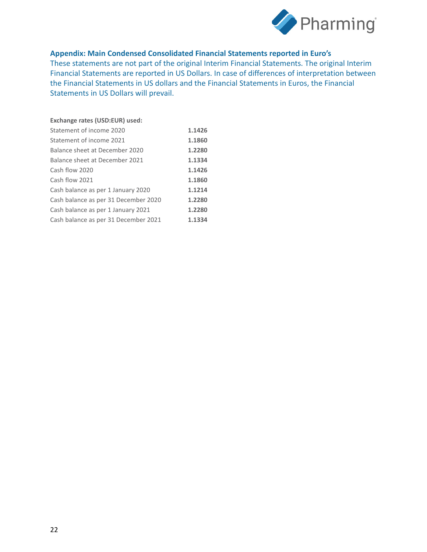

## **Appendix: Main Condensed Consolidated Financial Statements reported in Euro's**

These statements are not part of the original Interim Financial Statements. The original Interim Financial Statements are reported in US Dollars. In case of differences of interpretation between the Financial Statements in US dollars and the Financial Statements in Euros, the Financial Statements in US Dollars will prevail.

| Exchange rates (USD:EUR) used:       |        |
|--------------------------------------|--------|
| Statement of income 2020             | 1.1426 |
| Statement of income 2021             | 1.1860 |
| Balance sheet at December 2020       | 1.2280 |
| Balance sheet at December 2021       | 1.1334 |
| Cash flow 2020                       | 1.1426 |
| Cash flow 2021                       | 1.1860 |
| Cash balance as per 1 January 2020   | 1.1214 |
| Cash balance as per 31 December 2020 | 1.2280 |
| Cash balance as per 1 January 2021   | 1.2280 |
| Cash balance as per 31 December 2021 | 1.1334 |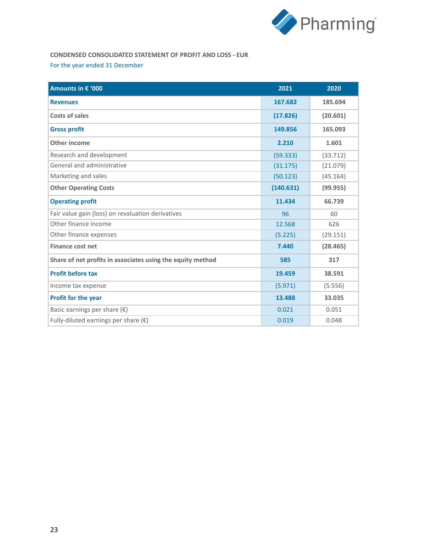

# **CONDENSED CONSOLIDATED STATEMENT OF PROFIT AND LOSS - EUR** For the year ended 31 December

| Amounts in € '000                                          | 2021      | 2020     |
|------------------------------------------------------------|-----------|----------|
| <b>Revenues</b>                                            | 167.682   | 185.694  |
| Costs of sales                                             | (17.826)  | (20.601) |
| <b>Gross profit</b>                                        | 149.856   | 165.093  |
| Other income                                               | 2.210     | 1.601    |
| Research and development                                   | (59.333)  | (33.712) |
| General and administrative                                 | (31.175)  | (21.079) |
| Marketing and sales                                        | (50.123)  | (45.164) |
| <b>Other Operating Costs</b>                               | (140.631) | (99.955) |
| <b>Operating profit</b>                                    | 11.434    | 66.739   |
| Fair value gain (loss) on revaluation derivatives          | 96        | 60       |
| Other finance income                                       | 12.568    | 626      |
| Other finance expenses                                     | (5.225)   | (29.151) |
| <b>Finance cost net</b>                                    | 7.440     | (28.465) |
| Share of net profits in associates using the equity method | 585       | 317      |
| <b>Profit before tax</b>                                   | 19.459    | 38.591   |
| Income tax expense                                         | (5.971)   | (5.556)  |
| Profit for the year                                        | 13.488    | 33.035   |
| Basic earnings per share $(\epsilon)$                      | 0.021     | 0.051    |
| Fully-diluted earnings per share $(\epsilon)$              | 0.019     | 0.048    |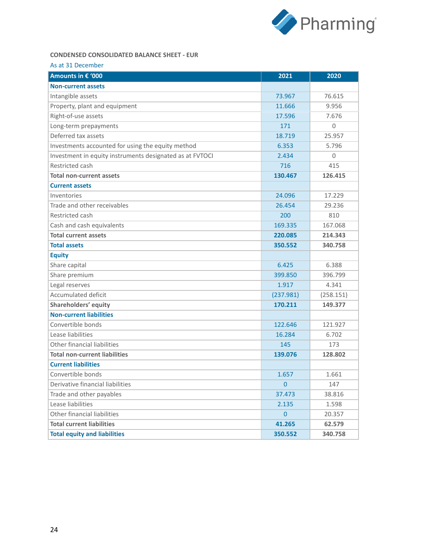

### **CONDENSED CONSOLIDATED BALANCE SHEET - EUR**

|  | As at 31 December |  |
|--|-------------------|--|
|  |                   |  |

| Amounts in € '000                                        | 2021           | 2020      |
|----------------------------------------------------------|----------------|-----------|
| <b>Non-current assets</b>                                |                |           |
| Intangible assets                                        | 73.967         | 76.615    |
| Property, plant and equipment                            | 11.666         | 9.956     |
| Right-of-use assets                                      | 17.596         | 7.676     |
| Long-term prepayments                                    | 171            | 0         |
| Deferred tax assets                                      | 18.719         | 25.957    |
| Investments accounted for using the equity method        | 6.353          | 5.796     |
| Investment in equity instruments designated as at FVTOCI | 2.434          | $\Omega$  |
| Restricted cash                                          | 716            | 415       |
| <b>Total non-current assets</b>                          | 130.467        | 126.415   |
| <b>Current assets</b>                                    |                |           |
| Inventories                                              | 24.096         | 17.229    |
| Trade and other receivables                              | 26.454         | 29.236    |
| Restricted cash                                          | 200            | 810       |
| Cash and cash equivalents                                | 169.335        | 167.068   |
| <b>Total current assets</b>                              | 220.085        | 214.343   |
| <b>Total assets</b>                                      | 350.552        | 340.758   |
| <b>Equity</b>                                            |                |           |
| Share capital                                            | 6.425          | 6.388     |
| Share premium                                            | 399.850        | 396.799   |
| Legal reserves                                           | 1.917          | 4.341     |
| <b>Accumulated deficit</b>                               | (237.981)      | (258.151) |
| Shareholders' equity                                     | 170.211        | 149.377   |
| <b>Non-current liabilities</b>                           |                |           |
| Convertible bonds                                        | 122.646        | 121.927   |
| Lease liabilities                                        | 16.284         | 6.702     |
| Other financial liabilities                              | 145            | 173       |
| <b>Total non-current liabilities</b>                     | 139.076        | 128.802   |
| <b>Current liabilities</b>                               |                |           |
| Convertible bonds                                        | 1.657          | 1.661     |
| Derivative financial liabilities                         | $\overline{0}$ | 147       |
| Trade and other payables                                 | 37.473         | 38.816    |
| Lease liabilities                                        | 2.135          | 1.598     |
| Other financial liabilities                              | $\overline{0}$ | 20.357    |
| <b>Total current liabilities</b>                         | 41.265         | 62.579    |
| <b>Total equity and liabilities</b>                      | 350.552        | 340.758   |